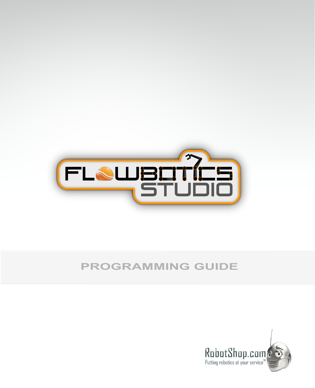

## **PROGRAMMING GUIDE**

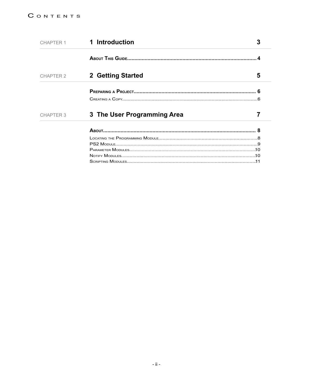| CHAPTER 1        | 1 Introduction              |   |  |
|------------------|-----------------------------|---|--|
|                  |                             |   |  |
| <b>CHAPTER 2</b> | 2 Getting Started           | 5 |  |
|                  |                             |   |  |
|                  |                             |   |  |
| <b>CHAPTER 3</b> | 3 The User Programming Area |   |  |
|                  |                             |   |  |
|                  |                             |   |  |
|                  |                             |   |  |
|                  |                             |   |  |
|                  |                             |   |  |
|                  |                             |   |  |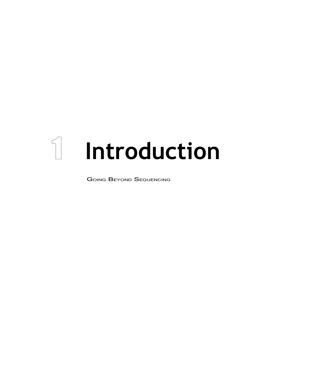# $\mathbb I$  Introduction

**GOING BEYOND SEQUENCING**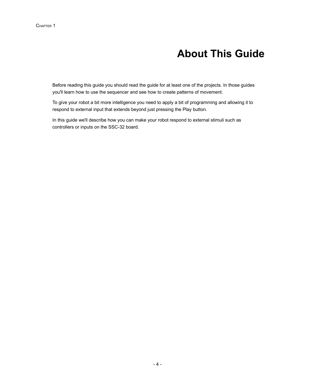## **About This Guide**

Before reading this guide you should read the guide for at least one of the projects. In those guides you'll learn how to use the sequencer and see how to create patterns of movement.

To give your robot a bit more intelligence you need to apply a bit of programming and allowing it to respond to external input that extends beyond just pressing the Play button.

In this guide we'll describe how you can make your robot respond to external stimuli such as controllers or inputs on the SSC-32 board.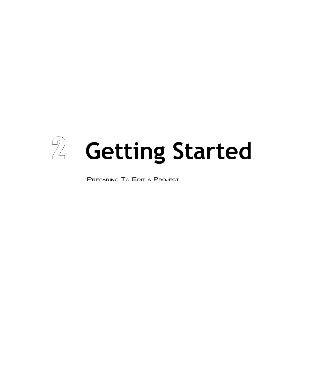

PREPARING TO EDIT <sup>A</sup> PROJECT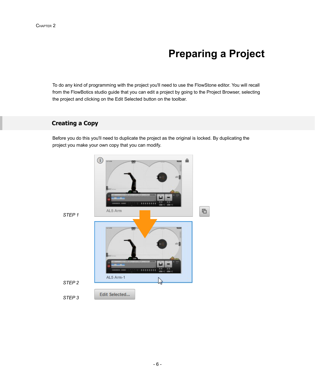## **Preparing a Project**

To do any kind of programming with the project you'll need to use the FlowStone editor. You will recall from the FlowBotics studio guide that you can edit a project by going to the Project Browser, selecting the project and clicking on the Edit Selected button on the toolbar.

#### **Creating a Copy**

Before you do this you'll need to duplicate the project as the original is locked. By duplicating the project you make your own copy that you can modify.

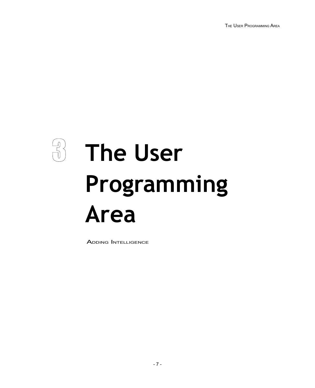THE USER PROGRAMMING AREA

## $\frac{1}{\sqrt{2}}$ **The User** Programming **Area**

**ADDING INTELLIGENCE**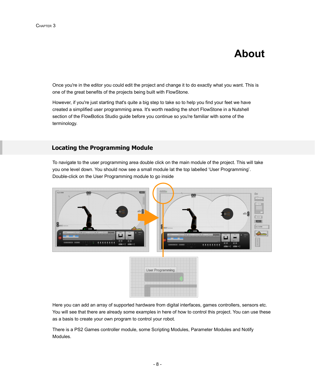## **About**

Once you're in the editor you could edit the project and change it to do exactly what you want. This is one of the great benefits of the projects being built with FlowStone.

However, if you're just starting that's quite a big step to take so to help you find your feet we have created a simplified user programming area. It's worth reading the short FlowStone in a Nutshell section of the FlowBotics Studio guide before you continue so you're familiar with some of the terminology.

#### **Locating the Programming Module**

To navigate to the user programming area double click on the main module of the project. This will take you one level down. You should now see a small module lat the top labelled 'User Programming'. Double-click on the User Programming module to go inside



Here you can add an array of supported hardware from digital interfaces, games controllers, sensors etc. You will see that there are already some examples in here of how to control this project. You can use these as a basis to create your own program to control your robot.

There is a PS2 Games controller module, some Scripting Modules, Parameter Modules and Notify Modules.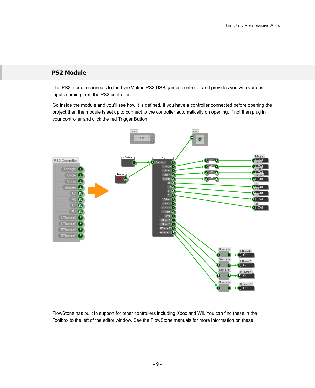#### **PS2 Module**

The PS2 module connects to the LynxMotion PS2 USB games controller and provides you with various inputs coming from the PS2 controller.

Go inside the module and you'll see how it is defined. If you have a controller connected before opening the project then the module is set up to connect to the controller automatically on opening. If not then plug in your controller and click the red Trigger Button.



FlowStone has built in support for other controllers including Xbox and Wii. You can find these in the Toolbox to the left of the editor window. See the FlowStone manuals for more information on these.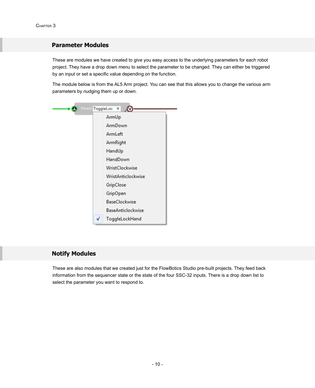#### **Parameter Modules**

These are modules we have created to give you easy access to the underlying parameters for each robot project. They have a drop down menu to select the parameter to be changed. They can either be triggered by an input or set a specific value depending on the function.

The module below is from the AL5 Arm project. You can see that this allows you to change the various arm parameters by nudging them up or down.

| Param: ToggleLoc | ⊽                         |  |  |
|------------------|---------------------------|--|--|
|                  | ArmUp                     |  |  |
|                  | ArmDown                   |  |  |
|                  | ArmLeft                   |  |  |
|                  | ArmRight                  |  |  |
|                  | HandUp                    |  |  |
|                  | HandDown                  |  |  |
|                  | WristClockwise            |  |  |
|                  | <b>WristAnticlockwise</b> |  |  |
|                  | GripClose                 |  |  |
|                  | <b>GripOpen</b>           |  |  |
|                  | <b>BaseClockwise</b>      |  |  |
|                  | <b>BaseAnticlockwise</b>  |  |  |
| ✓                | ToggleLockHand            |  |  |

#### **Notify Modules**

These are also modules that we created just for the FlowBotics Studio pre-built projects. They feed back information from the sequencer state or the state of the four SSC-32 inputs. There is a drop down list to select the parameter you want to respond to.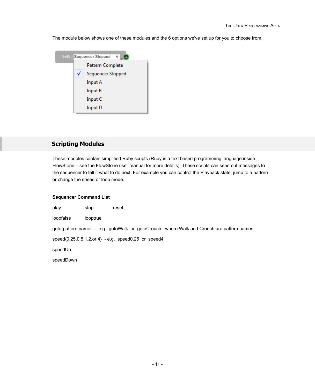The module below shows one of these modules and the 6 options we've set up for you to choose from.



#### **Scripting Modules**

These modules contain simplified Ruby scripts (Ruby is a text based programming language inside FlowStone – see the FlowStone user manual for more details). These scripts can send out messages to the sequencer to tell it what to do next. For example you can control the Playback state, jump to a pattern or change the speed or loop mode.

#### **Sequencer Command List**

| play                                                                                    | stop     | reset |  |  |  |  |
|-----------------------------------------------------------------------------------------|----------|-------|--|--|--|--|
| loopfalse                                                                               | looptrue |       |  |  |  |  |
| goto{pattern name} - e.g gotoWalk or gotoCrouch where Walk and Crouch are pattern names |          |       |  |  |  |  |
| $speed(0.25, 0.5, 1, 2, or 4) - e.g. speed0.25$ or speed4                               |          |       |  |  |  |  |
| speedUp                                                                                 |          |       |  |  |  |  |
| speedDown                                                                               |          |       |  |  |  |  |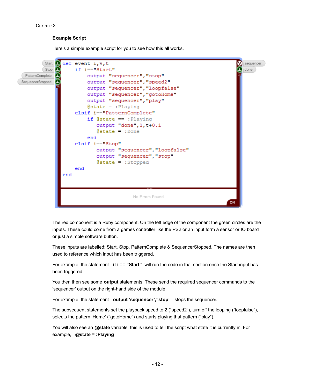#### CHAPTER 3

#### **Example Script**

Here's a simple example script for you to see how this all works.



The red component is a Ruby component. On the left edge of the component the green circles are the inputs. These could come from a games controller like the PS2 or an input form a sensor or IO board or just a simple software button.

These inputs are labelled: Start, Stop, PatternComplete & SequencerStopped. The names are then used to reference which input has been triggered.

For example, the statement **if i == "Start"** will run the code in that section once the Start input has been triggered.

You then then see some **output** statements. These send the required sequencer commands to the 'sequencer' output on the right-hand side of the module.

For example, the statement **output 'sequencer',"stop"** stops the sequencer.

The subsequent statements set the playback speed to 2 ("speed2"), turn off the looping ("loopfalse"), selects the pattern 'Home' ("gotoHome") and starts playing that pattern ("play").

You will also see an **@state** variable, this is used to tell the script what state it is currently in. For example, **@state = :Playing**